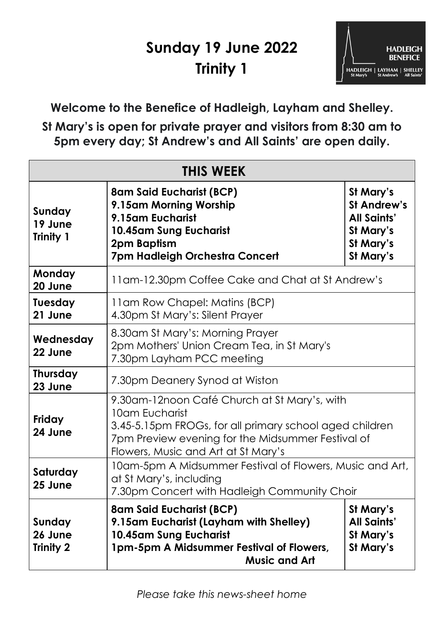## **Sunday 19 June 2022 Trinity 1**



**Welcome to the Benefice of Hadleigh, Layham and Shelley. St Mary's is open for private prayer and visitors from 8:30 am to 5pm every day; St Andrew's and All Saints' are open daily.**

| <b>THIS WEEK</b>                      |                                                                                                                                                                                                                       |                                                                                              |
|---------------------------------------|-----------------------------------------------------------------------------------------------------------------------------------------------------------------------------------------------------------------------|----------------------------------------------------------------------------------------------|
| Sunday<br>19 June<br><b>Trinity 1</b> | <b>8am Said Eucharist (BCP)</b><br>9.15am Morning Worship<br>9.15am Eucharist<br>10.45am Sung Eucharist<br>2pm Baptism<br>7pm Hadleigh Orchestra Concert                                                              | St Mary's<br><b>St Andrew's</b><br><b>All Saints'</b><br>St Mary's<br>St Mary's<br>St Mary's |
| Monday<br>20 June                     | 11 am-12.30 pm Coffee Cake and Chat at St Andrew's                                                                                                                                                                    |                                                                                              |
| <b>Tuesday</b><br>21 June             | 11am Row Chapel: Matins (BCP)<br>4.30pm St Mary's: Silent Prayer                                                                                                                                                      |                                                                                              |
| Wednesday<br>22 June                  | 8.30am St Mary's: Morning Prayer<br>2pm Mothers' Union Cream Tea, in St Mary's<br>7.30pm Layham PCC meeting                                                                                                           |                                                                                              |
| <b>Thursday</b><br>23 June            | 7.30pm Deanery Synod at Wiston                                                                                                                                                                                        |                                                                                              |
| Friday<br>24 June                     | 9.30am-12noon Café Church at St Mary's, with<br>10am Eucharist<br>3.45-5.15pm FROGs, for all primary school aged children<br>7pm Preview evening for the Midsummer Festival of<br>Flowers, Music and Art at St Mary's |                                                                                              |
| Saturday<br>25 June                   | 10am-5pm A Midsummer Festival of Flowers, Music and Art,<br>at St Mary's, including<br>7.30pm Concert with Hadleigh Community Choir                                                                                   |                                                                                              |
| Sunday<br>26 June<br><b>Trinity 2</b> | <b>8am Said Eucharist (BCP)</b><br>9.15am Eucharist (Layham with Shelley)<br>10.45am Sung Eucharist<br>1pm-5pm A Midsummer Festival of Flowers,<br><b>Music and Art</b>                                               | St Mary's<br><b>All Saints'</b><br>St Mary's<br>St Mary's                                    |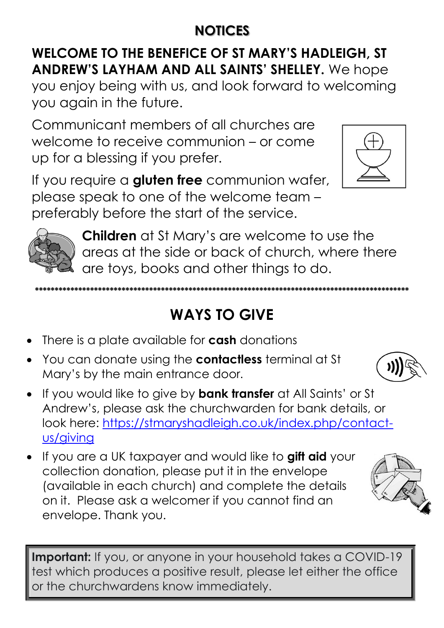### **NOTICES**

#### **WELCOME TO THE BENEFICE OF ST MARY'S HADLEIGH, ST ANDREW'S LAYHAM AND ALL SAINTS' SHELLEY.** We hope

you enjoy being with us, and look forward to welcoming you again in the future.

Communicant members of all churches are welcome to receive communion – or come up for a blessing if you prefer.



If you require a **gluten free** communion wafer, please speak to one of the welcome team – preferably before the start of the service.



**Children** at St Mary's are welcome to use the areas at the side or back of church, where there are toys, books and other things to do.

# **WAYS TO GIVE**

**\*\*\*\*\*\*\*\*\*\*\*\*\*\*\*\*\*\*\*\*\*\*\*\*\*\*\*\*\*\*\*\*\*\*\*\*\*\*\*\*\*\*\*\*\*\*\*\*\*\*\*\*\*\*\*\*\*\*\*\*\*\*\*\*\*\*\*\*\*\*\*\*\*\*\*\*\*\*\*\*\*\*\*\*\*\*\*\*\*\*\*\*\*\*\***

- There is a plate available for **cash** donations
- You can donate using the **contactless** terminal at St Mary's by the main entrance door.
- If you would like to give by **bank transfer** at All Saints' or St Andrew's, please ask the churchwarden for bank details, or look here: [https://stmaryshadleigh.co.uk/index.php/contact](https://stmaryshadleigh.co.uk/index.php/contact-us/giving)[us/giving](https://stmaryshadleigh.co.uk/index.php/contact-us/giving)
- If you are a UK taxpayer and would like to **gift aid** your collection donation, please put it in the envelope (available in each church) and complete the details on it. Please ask a welcomer if you cannot find an envelope. Thank you.





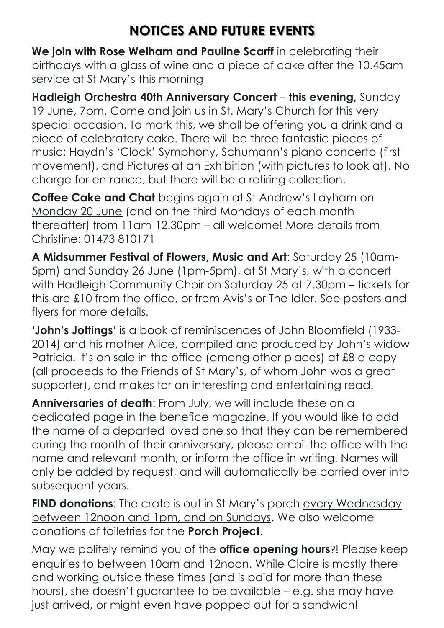#### **NOTICES AND FUTURE EVENTS**

**We join with Rose Welham and Pauline Scarff** in celebrating their birthdays with a glass of wine and a piece of cake after the 10.45am service at St Mary's this morning

**Hadleigh Orchestra 40th Anniversary Concert** – **this evening,** Sunday 19 June, 7pm. Come and join us in St. Mary's Church for this very special occasion. To mark this, we shall be offering you a drink and a piece of celebratory cake. There will be three fantastic pieces of music: Haydn's 'Clock' Symphony, Schumann's piano concerto (first movement), and Pictures at an Exhibition (with pictures to look at). No charge for entrance, but there will be a retiring collection.

**Coffee Cake and Chat** begins again at St Andrew's Layham on Monday 20 June (and on the third Mondays of each month thereafter) from 11am-12.30pm – all welcome! More details from Christine: 01473 810171

**A Midsummer Festival of Flowers, Music and Art**: Saturday 25 (10am-5pm) and Sunday 26 June (1pm-5pm), at St Mary's, with a concert with Hadleigh Community Choir on Saturday 25 at 7.30pm – tickets for this are £10 from the office, or from Avis's or The Idler. See posters and flyers for more details.

**'John's Jottings'** is a book of reminiscences of John Bloomfield (1933- 2014) and his mother Alice, compiled and produced by John's widow Patricia. It's on sale in the office (among other places) at £8 a copy (all proceeds to the Friends of St Mary's, of whom John was a great supporter), and makes for an interesting and entertaining read.

**Anniversaries of death**: From July, we will include these on a dedicated page in the benefice magazine. If you would like to add the name of a departed loved one so that they can be remembered during the month of their anniversary, please email the office with the name and relevant month, or inform the office in writing. Names will only be added by request, and will automatically be carried over into subsequent years.

**FIND donations:** The crate is out in St Mary's porch every Wednesday between 12noon and 1pm, and on Sundays. We also welcome donations of toiletries for the **Porch Project**.

May we politely remind you of the **office opening hours**?! Please keep enquiries to between 10am and 12noon. While Claire is mostly there and working outside these times (and is paid for more than these hours), she doesn't guarantee to be available – e.g. she may have just arrived, or might even have popped out for a sandwich!